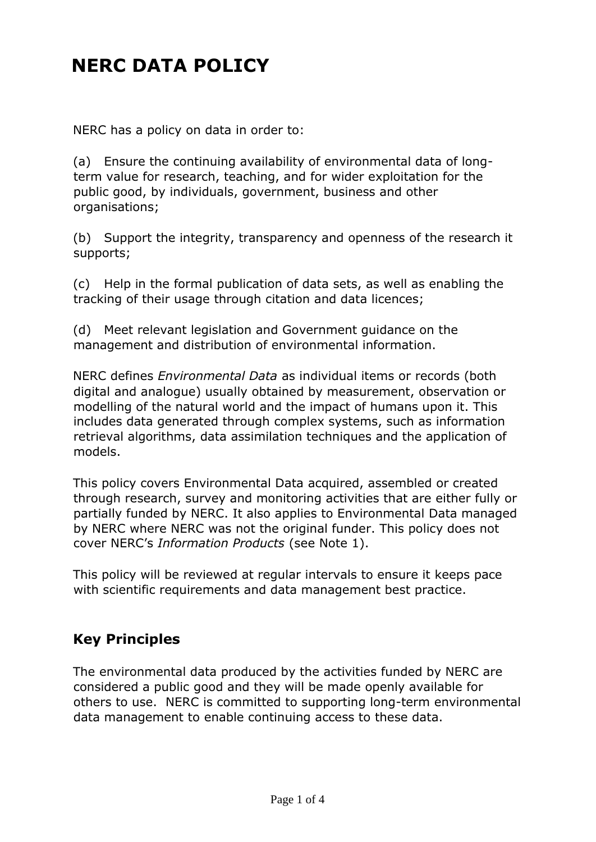# **NERC DATA POLICY**

NERC has a policy on data in order to:

(a) Ensure the continuing availability of environmental data of longterm value for research, teaching, and for wider exploitation for the public good, by individuals, government, business and other organisations;

(b) Support the integrity, transparency and openness of the research it supports;

(c) Help in the formal publication of data sets, as well as enabling the tracking of their usage through citation and data licences;

(d) Meet relevant legislation and Government guidance on the management and distribution of environmental information.

NERC defines *Environmental Data* as individual items or records (both digital and analogue) usually obtained by measurement, observation or modelling of the natural world and the impact of humans upon it. This includes data generated through complex systems, such as information retrieval algorithms, data assimilation techniques and the application of models.

This policy covers Environmental Data acquired, assembled or created through research, survey and monitoring activities that are either fully or partially funded by NERC. It also applies to Environmental Data managed by NERC where NERC was not the original funder. This policy does not cover NERC's *Information Products* (see Note 1).

This policy will be reviewed at regular intervals to ensure it keeps pace with scientific requirements and data management best practice.

#### **Key Principles**

The environmental data produced by the activities funded by NERC are considered a public good and they will be made openly available for others to use. NERC is committed to supporting long-term environmental data management to enable continuing access to these data.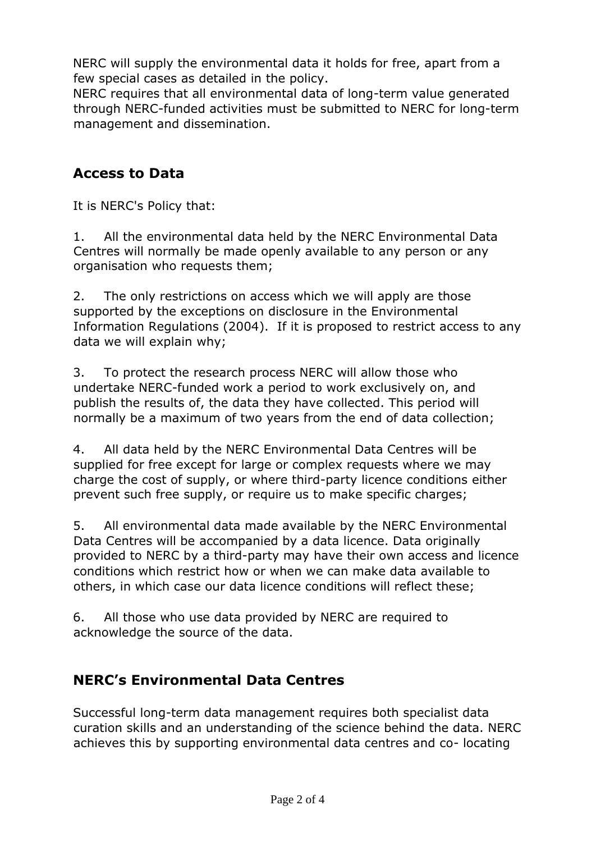NERC will supply the environmental data it holds for free, apart from a few special cases as detailed in the policy.

NERC requires that all environmental data of long-term value generated through NERC-funded activities must be submitted to NERC for long-term management and dissemination.

### **Access to Data**

It is NERC's Policy that:

1. All the environmental data held by the NERC Environmental Data Centres will normally be made openly available to any person or any organisation who requests them;

2. The only restrictions on access which we will apply are those supported by the exceptions on disclosure in the Environmental Information Regulations (2004). If it is proposed to restrict access to any data we will explain why;

3. To protect the research process NERC will allow those who undertake NERC-funded work a period to work exclusively on, and publish the results of, the data they have collected. This period will normally be a maximum of two years from the end of data collection;

4. All data held by the NERC Environmental Data Centres will be supplied for free except for large or complex requests where we may charge the cost of supply, or where third-party licence conditions either prevent such free supply, or require us to make specific charges;

5. All environmental data made available by the NERC Environmental Data Centres will be accompanied by a data licence. Data originally provided to NERC by a third-party may have their own access and licence conditions which restrict how or when we can make data available to others, in which case our data licence conditions will reflect these;

6. All those who use data provided by NERC are required to acknowledge the source of the data.

## **NERC's Environmental Data Centres**

Successful long-term data management requires both specialist data curation skills and an understanding of the science behind the data. NERC achieves this by supporting environmental data centres and co- locating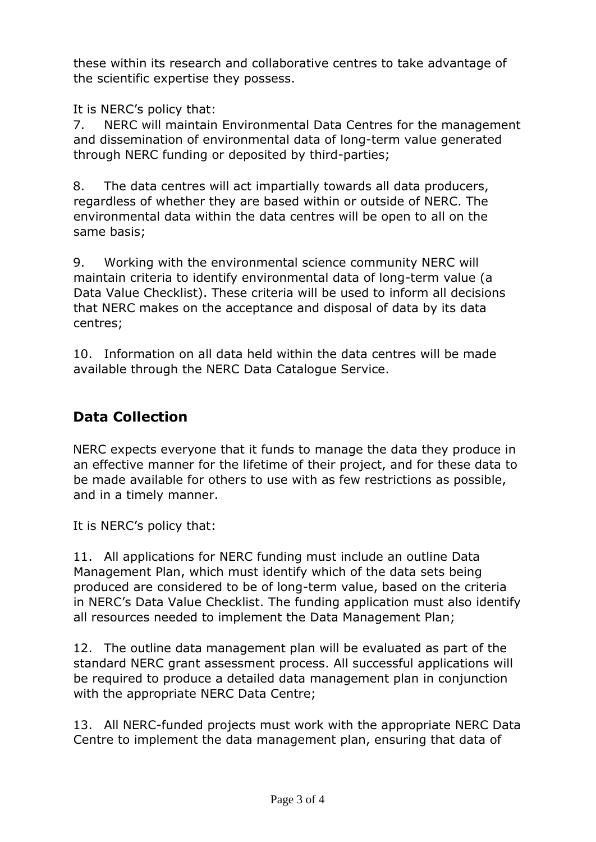these within its research and collaborative centres to take advantage of the scientific expertise they possess.

It is NERC's policy that:

7. NERC will maintain Environmental Data Centres for the management and dissemination of environmental data of long-term value generated through NERC funding or deposited by third-parties;

8. The data centres will act impartially towards all data producers, regardless of whether they are based within or outside of NERC. The environmental data within the data centres will be open to all on the same basis;

9. Working with the environmental science community NERC will maintain criteria to identify environmental data of long-term value (a Data Value Checklist). These criteria will be used to inform all decisions that NERC makes on the acceptance and disposal of data by its data centres;

10. Information on all data held within the data centres will be made available through the NERC Data Catalogue Service.

## **Data Collection**

NERC expects everyone that it funds to manage the data they produce in an effective manner for the lifetime of their project, and for these data to be made available for others to use with as few restrictions as possible, and in a timely manner.

It is NERC's policy that:

11. All applications for NERC funding must include an outline Data Management Plan, which must identify which of the data sets being produced are considered to be of long-term value, based on the criteria in NERC's Data Value Checklist. The funding application must also identify all resources needed to implement the Data Management Plan;

12. The outline data management plan will be evaluated as part of the standard NERC grant assessment process. All successful applications will be required to produce a detailed data management plan in conjunction with the appropriate NERC Data Centre;

13. All NERC-funded projects must work with the appropriate NERC Data Centre to implement the data management plan, ensuring that data of